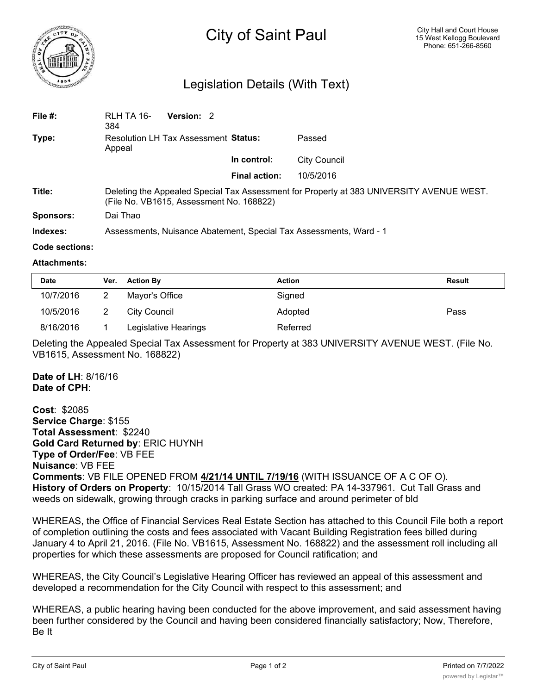

# City of Saint Paul

## Legislation Details (With Text)

| File $#$ : | RLH TA 16-<br>384                                                                                                                    | Version: 2 |               |                     |  |  |
|------------|--------------------------------------------------------------------------------------------------------------------------------------|------------|---------------|---------------------|--|--|
| Type:      | <b>Resolution LH Tax Assessment Status:</b><br>Appeal                                                                                |            |               | Passed              |  |  |
|            |                                                                                                                                      |            | In control:   | <b>City Council</b> |  |  |
|            |                                                                                                                                      |            | Final action: | 10/5/2016           |  |  |
| Title:     | Deleting the Appealed Special Tax Assessment for Property at 383 UNIVERSITY AVENUE WEST.<br>(File No. VB1615, Assessment No. 168822) |            |               |                     |  |  |
| Sponsors:  | Dai Thao                                                                                                                             |            |               |                     |  |  |
| Indexes:   | Assessments, Nuisance Abatement, Special Tax Assessments, Ward - 1                                                                   |            |               |                     |  |  |

#### **Code sections:**

#### **Attachments:**

| <b>Date</b> | Ver. | <b>Action By</b>     | <b>Action</b> | <b>Result</b> |
|-------------|------|----------------------|---------------|---------------|
| 10/7/2016   |      | Mayor's Office       | Signed        |               |
| 10/5/2016   |      | City Council         | Adopted       | Pass          |
| 8/16/2016   |      | Legislative Hearings | Referred      |               |

Deleting the Appealed Special Tax Assessment for Property at 383 UNIVERSITY AVENUE WEST. (File No. VB1615, Assessment No. 168822)

#### **Date of LH**: 8/16/16 **Date of CPH**:

**Cost**: \$2085 **Service Charge**: \$155 **Total Assessment**: \$2240 **Gold Card Returned by**: ERIC HUYNH **Type of Order/Fee**: VB FEE **Nuisance**: VB FEE **Comments**: VB FILE OPENED FROM **4/21/14 UNTIL 7/19/16** (WITH ISSUANCE OF A C OF O). **History of Orders on Property**: 10/15/2014 Tall Grass WO created: PA 14-337961. Cut Tall Grass and weeds on sidewalk, growing through cracks in parking surface and around perimeter of bld

WHEREAS, the Office of Financial Services Real Estate Section has attached to this Council File both a report of completion outlining the costs and fees associated with Vacant Building Registration fees billed during January 4 to April 21, 2016. (File No. VB1615, Assessment No. 168822) and the assessment roll including all properties for which these assessments are proposed for Council ratification; and

WHEREAS, the City Council's Legislative Hearing Officer has reviewed an appeal of this assessment and developed a recommendation for the City Council with respect to this assessment; and

WHEREAS, a public hearing having been conducted for the above improvement, and said assessment having been further considered by the Council and having been considered financially satisfactory; Now, Therefore, Be It